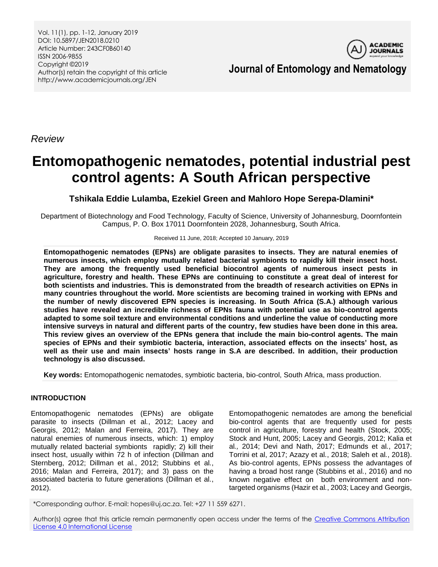Vol. 11(1), pp. 1-12, January 2019 DOI: 10.5897/JEN2018.0210 Article Number: 243CF0B60140 ISSN 2006-9855 Copyright ©2019 Author(s) retain the copyright of this article http://www.academicjournals.org/JEN



**Journal of Entomology and Nematology**

*Review*

# **Entomopathogenic nematodes, potential industrial pest control agents: A South African perspective**

**Tshikala Eddie Lulamba, Ezekiel Green and Mahloro Hope Serepa-Dlamini\***

Department of Biotechnology and Food Technology, Faculty of Science, University of Johannesburg, Doornfontein Campus, P. O. Box 17011 Doornfontein 2028, Johannesburg, South Africa.

Received 11 June, 2018; Accepted 10 January, 2019

**Entomopathogenic nematodes (EPNs) are obligate parasites to insects. They are natural enemies of numerous insects, which employ mutually related bacterial symbionts to rapidly kill their insect host. They are among the frequently used beneficial biocontrol agents of numerous insect pests in agriculture, forestry and health. These EPNs are continuing to constitute a great deal of interest for both scientists and industries. This is demonstrated from the breadth of research activities on EPNs in many countries throughout the world. More scientists are becoming trained in working with EPNs and the number of newly discovered EPN species is increasing. In South Africa (S.A.) although various studies have revealed an incredible richness of EPNs fauna with potential use as bio-control agents adapted to some soil texture and environmental conditions and underline the value of conducting more intensive surveys in natural and different parts of the country, few studies have been done in this area. This review gives an overview of the EPNs genera that include the main bio-control agents. The main species of EPNs and their symbiotic bacteria, interaction, associated effects on the insects' host, as well as their use and main insects' hosts range in S.A are described. In addition, their production technology is also discussed.**

**Key words:** Entomopathogenic nematodes, symbiotic bacteria, bio-control, South Africa, mass production.

# **INTRODUCTION**

Entomopathogenic nematodes (EPNs) are obligate parasite to insects (Dillman et al*.*, 2012; Lacey and Georgis, 2012; Malan and Ferreira, 2017). They are natural enemies of numerous insects, which: 1) employ mutually related bacterial symbionts rapidly; 2) kill their insect host, usually within 72 h of infection (Dillman and Sternberg, 2012; Dillman et al*.*, 2012; Stubbins et al*.*, 2016; Malan and Ferreira, 2017); and 3) pass on the associated bacteria to future generations (Dillman et al*.*, 2012).

Entomopathogenic nematodes are among the beneficial bio-control agents that are frequently used for pests control in agriculture, forestry and health (Stock, 2005; Stock and Hunt, 2005; Lacey and Georgis, 2012; Kalia et al*.,* 2014; Devi and Nath, 2017; Edmunds et al*.*, 2017; Torrini et al, 2017; Azazy et al*.*, 2018; Saleh et al*.*, 2018). As bio-control agents, EPNs possess the advantages of having a broad host range (Stubbins et al*.*, 2016) and no known negative effect on both environment and nontargeted organisms (Hazir et al*.*, 2003; Lacey and Georgis,

\*Corresponding author. E-mail: hopes@uj.ac.za. Tel: +27 11 559 6271.

Author(s) agree that this article remain permanently open access under the terms of the Creative Commons Attribution [License 4.0 International License](http://creativecommons.org/licenses/by/4.0/deed.en_US)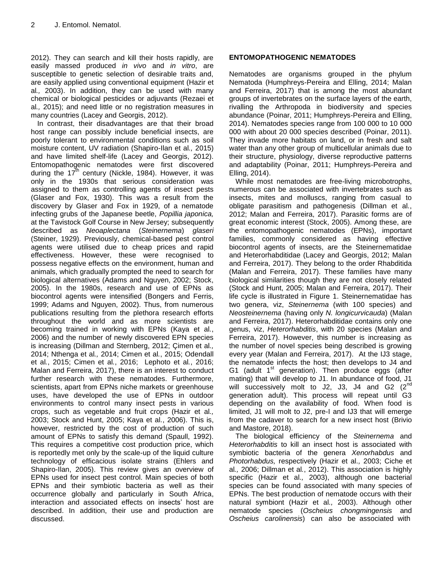2012). They can search and kill their hosts rapidly, are easily massed produced *in vivo* and *in vitro*, are susceptible to genetic selection of desirable traits and, are easily applied using conventional equipment (Hazir et al*.,* 2003). In addition, they can be used with many chemical or biological pesticides or adjuvants (Rezaei et al*.,* 2015); and need little or no registration measures in many countries (Lacey and Georgis, 2012).

In contrast, their disadvantages are that their broad host range can possibly include beneficial insects, are poorly tolerant to environmental conditions such as soil moisture content, UV radiation (Shapiro-Ilan et al*.,* 2015) and have limited shelf-life (Lacey and Georgis, 2012). Entomopathogenic nematodes were first discovered during the 17<sup>th</sup> century (Nickle, 1984). However, it was only in the 1930s that serious consideration was assigned to them as controlling agents of insect pests (Glaser and Fox, 1930). This was a result from the discovery by Glaser and Fox in 1929, of a nematode infecting grubs of the Japanese beetle, *Popillia japonica,*  at the Tavistock Golf Course in New Jersey; subsequently described as *Neoaplectana* (*Steinernema*) *glaseri*  (Steiner, 1929). Previously, chemical-based pest control agents were utilised due to cheap prices and rapid effectiveness. However, these were recognised to possess negative effects on the environment, human and animals, which gradually prompted the need to search for biological alternatives (Adams and Nguyen, 2002; Stock, 2005). In the 1980s, research and use of EPNs as biocontrol agents were intensified (Bongers and Ferris, 1999; Adams and Nguyen, 2002). Thus, from numerous publications resulting from the plethora research efforts throughout the world and as more scientists are becoming trained in working with EPNs (Kaya et al*.*, 2006) and the number of newly discovered EPN species is increasing (Dillman and Sternberg, 2012; Çimen et al*.,*  2014; Nthenga et al*.,* 2014; Cimen et al*.*, 2015; Odendall et al*.*, 2015; Cimen et al*.*, 2016; Lephoto et al*.*, 2016; Malan and Ferreira, 2017), there is an interest to conduct further research with these nematodes. Furthermore, scientists, apart from EPNs niche markets or greenhouse uses, have developed the use of EPNs in outdoor environments to control many insect pests in various crops, such as vegetable and fruit crops (Hazir et al*.,*  2003; Stock and Hunt, 2005; Kaya et al*.*, 2006). This is, however, restricted by the cost of production of such amount of EPNs to satisfy this demand (Spaull, 1992). This requires a competitive cost production price, which is reportedly met only by the scale-up of the liquid culture technology of efficacious isolate strains (Ehlers and Shapiro-Ilan, 2005). This review gives an overview of EPNs used for insect pest control. Main species of both EPNs and their symbiotic bacteria as well as their occurrence globally and particularly in South Africa, interaction and associated effects on insects' host are described. In addition, their use and production are discussed.

# **ENTOMOPATHOGENIC NEMATODES**

Nematodes are organisms grouped in the phylum Nematoda (Humphreys-Pereira and Elling, 2014; Malan and Ferreira, 2017) that is among the most abundant groups of invertebrates on the surface layers of the earth, rivalling the Arthropoda in biodiversity and species abundance (Poinar, 2011; Humphreys-Pereira and Elling, 2014). Nematodes species range from 100 000 to 10 000 000 with about 20 000 species described (Poinar, 2011). They invade more habitats on land, or in fresh and salt water than any other group of multicellular animals due to their structure, physiology, diverse reproductive patterns and adaptability (Poinar, 2011; Humphreys-Pereira and Elling, 2014).

While most nematodes are free-living microbotrophs, numerous can be associated with invertebrates such as insects, mites and molluscs, ranging from casual to obligate parasitism and pathogenesis (Dillman et al*.*, 2012; Malan and Ferreira, 2017). Parasitic forms are of great economic interest (Stock, 2005). Among these, are the entomopathogenic nematodes (EPNs), important families, commonly considered as having effective biocontrol agents of insects, are the Steinernematidae and Heterorhabditidae (Lacey and Georgis, 2012; Malan and Ferreira, 2017). They belong to the order Rhabditida (Malan and Ferreira, 2017). These families have many biological similarities though they are not closely related (Stock and Hunt, 2005; Malan and Ferreira, 2017). Their life cycle is illustrated in Figure 1. Steinernematidae has two genera, viz, *Steinernema* (with 100 species) and *Neosteinernema* (having only *N. longicurvicauda*) (Malan and Ferreira, 2017). Heterorhabditidae contains only one genus, viz, *Heterorhabditis*, with 20 species (Malan and Ferreira, 2017). However, this number is increasing as the number of novel species being described is growing every year (Malan and Ferreira, 2017). At the IJ3 stage, the nematode infects the host; then develops to J4 and G1 (adult 1<sup>st</sup> generation). Then produce eggs (after mating) that will develop to J1. In abundance of food, J1 will successively molt to J2, J3, J4 and G2  $(2^{nd}$ generation adult). This process will repeat until G3 depending on the availability of food. When food is limited, J1 will molt to J2, pre-I and IJ3 that will emerge from the cadaver to search for a new insect host (Brivio and Mastore, 2018).

The biological efficiency of the *Steinernema* and *Heterorhabditis* to kill an insect host is associated with symbiotic bacteria of the genera *Xenorhabdus* and *Photorhabdus,* respectively (Hazir et al*.,* 2003; Ciche et al*.,* 2006; Dillman et al*.*, 2012). This association is highly specific (Hazir et al*.,* 2003), although one bacterial species can be found associated with many species of EPNs. The best production of nematode occurs with their natural symbiont (Hazir et al*.,* 2003). Although other nematode species (*Oscheius chongmingensis* and *Oscheius carolinensis*) can also be associated with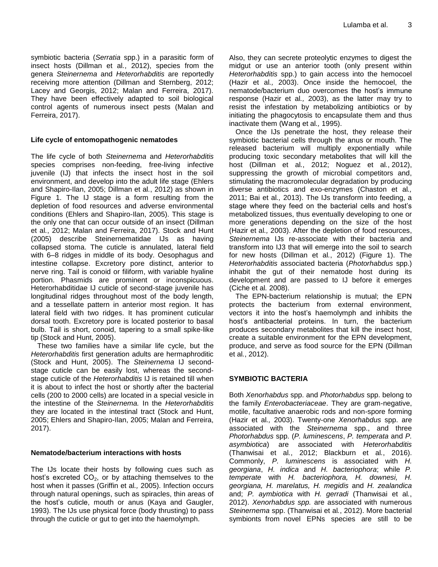symbiotic bacteria (*Serratia* spp.) in a parasitic form of insect hosts (Dillman et al*.*, 2012), species from the genera *Steinernema* and *Heterorhabditis* are reportedly receiving more attention (Dillman and Sternberg, 2012; Lacey and Georgis, 2012; Malan and Ferreira, 2017). They have been effectively adapted to soil biological control agents of numerous insect pests (Malan and Ferreira, 2017).

## **Life cycle of entomopathogenic nematodes**

The life cycle of both *Steinernema* and *Heterorhabditis* species comprises non-feeding, free-living infective juvenile (IJ) that infects the insect host in the soil environment, and develop into the adult life stage (Ehlers and Shapiro-Ilan, 2005; Dillman et al*.*, 2012) as shown in Figure 1. The IJ stage is a form resulting from the depletion of food resources and adverse environmental conditions (Ehlers and Shapiro-Ilan, 2005). This stage is the only one that can occur outside of an insect (Dillman et al*.*, 2012; Malan and Ferreira, 2017). Stock and Hunt (2005) describe Steinernematidae IJs as having collapsed stoma. The cuticle is annulated, lateral field with 6–8 ridges in middle of its body. Oesophagus and intestine collapse. Excretory pore distinct, anterior to nerve ring. Tail is conoid or filiform, with variable hyaline portion. Phasmids are prominent or inconspicuous. Heterorhabditidae IJ cuticle of second-stage juvenile has longitudinal ridges throughout most of the body length, and a tessellate pattern in anterior most region. It has lateral field with two ridges. It has prominent cuticular dorsal tooth. Excretory pore is located posterior to basal bulb. Tail is short, conoid, tapering to a small spike-like tip (Stock and Hunt, 2005).

These two families have a similar life cycle, but the *Heterorhabditis* first generation adults are hermaphroditic (Stock and Hunt, 2005). The *Steinernema* IJ secondstage cuticle can be easily lost, whereas the secondstage cuticle of the *Heterorhabditis* IJ is retained till when it is about to infect the host or shortly after the bacterial cells (200 to 2000 cells) are located in a special vesicle in the intestine of the *Steinernema.* In the *Heterorhabditis* they are located in the intestinal tract (Stock and Hunt, 2005; Ehlers and Shapiro-Ilan, 2005; Malan and Ferreira, 2017).

# **Nematode/bacterium interactions with hosts**

The IJs locate their hosts by following cues such as host's excreted  $CO<sub>2</sub>$ , or by attaching themselves to the host when it passes (Griffin et al*.,* 2005). Infection occurs through natural openings, such as spiracles, thin areas of the host's cuticle, mouth or anus (Kaya and Gaugler, 1993). The IJs use physical force (body thrusting) to pass through the cuticle or gut to get into the haemolymph.

Also, they can secrete proteolytic enzymes to digest the midgut or use an anterior tooth (only present within *Heterorhabditis* spp.) to gain access into the hemocoel (Hazir et al*.,* 2003). Once inside the hemocoel, the nematode/bacterium duo overcomes the host's immune response (Hazir et al*.,* 2003), as the latter may try to resist the infestation by metabolizing antibiotics or by initiating the phagocytosis to encapsulate them and thus inactivate them (Wang et al*.,* 1995).

Once the IJs penetrate the host, they release their symbiotic bacterial cells through the anus or mouth. The released bacterium will multiply exponentially while producing toxic secondary metabolites that will kill the host (Dillman et al*.*, 2012; Noguez et al*.*, 2012), suppressing the growth of microbial competitors and, stimulating the macromolecular degradation by producing diverse antibiotics and exo-enzymes (Chaston et al*.,* 2011; Bai et al*.,* 2013). The IJs transform into feeding, a stage where they feed on the bacterial cells and host's metabolized tissues, thus eventually developing to one or more generations depending on the size of the host (Hazir et al*.,* 2003). After the depletion of food resources, *Steinernema* IJs re-associate with their bacteria and transform into IJ3 that will emerge into the soil to search for new hosts (Dillman et al*.*, 2012) (Figure 1). The *Heterorhabditis* associated bacteria (*Photorhabdus* spp.) inhabit the gut of their nematode host during its development and are passed to IJ before it emerges (Ciche et al*.* 2008).

The EPN-bacterium relationship is mutual; the EPN protects the bacterium from external environment, vectors it into the host's haemolymph and inhibits the host's antibacterial proteins. In turn, the bacterium produces secondary metabolites that kill the insect host, create a suitable environment for the EPN development, produce, and serve as food source for the EPN (Dillman et al*.*, 2012).

# **SYMBIOTIC BACTERIA**

Both *Xenorhabdus* spp. and *Photorhabdus* spp. belong to the family *Enterobacteriaceae*. They are gram-negative, motile, facultative anaerobic rods and non-spore forming (Hazir et al*.,* 2003). Twenty-one *Xenorhabdus* spp. are associated with the *Steinernema* spp., and three *Photorhabdus* spp. (*P. luminescens*, *P. temperata* and *P. asymbiotica*) are associated with *Heterorhabditis* (Thanwisai et al*.*, 2012; Blackburn et al*.*, 2016). Commonly, *P. luminescens* is associated with *H. georgiana*, *H. indica* and *H. bacteriophora*; while *P. temperate* with *H. bacteriophora, H. downesi, H. georgiana, H. marelatus, H. megidis* and *H. zealandica* and; *P. aymbiotica* with *H. gerradi* (Thanwisai et al*.*, 2012). *Xenorhabdus spp.* are associated with numerous *Steinernema* spp. (Thanwisai et al*.*, 2012). More bacterial symbionts from novel EPNs species are still to be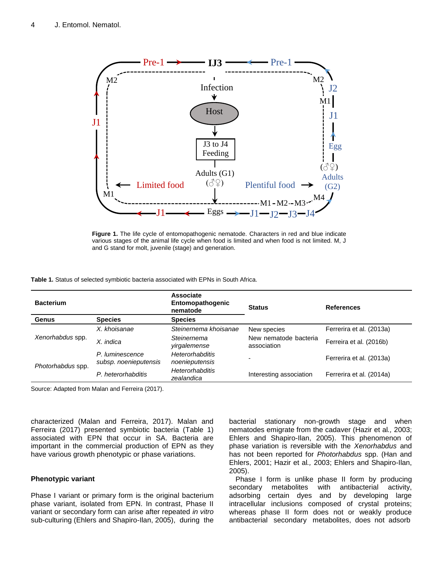

**Figure 1.** The life cycle of entomopathogenic nematode. Characters in red and blue indicate various stages of the animal life cycle when food is limited and when food is not limited. M, J and G stand for molt, juvenile (stage) and generation.

**Table 1.** Status of selected symbiotic bacteria associated with EPNs in South Africa.

| <b>Bacterium</b>  |                                          | <b>Associate</b><br>Entomopathogenic<br>nematode | <b>Status</b>                        | <b>References</b>        |
|-------------------|------------------------------------------|--------------------------------------------------|--------------------------------------|--------------------------|
| Genus             | <b>Species</b>                           | <b>Species</b>                                   |                                      |                          |
| Xenorhabdus spp.  | X. khoisanae                             | Steinernema khoisanae                            | New species                          | Ferrerira et al. (2013a) |
|                   | X. indica                                | Steinernema<br>yirgalemense                      | New nematode bacteria<br>association | Ferreira et al. (2016b)  |
| Photorhabdus spp. | P. luminescence<br>subsp. noenieputensis | <b>Heterorhabditis</b><br>noenieputensis         |                                      | Ferrerira et al. (2013a) |
|                   | P. heterorhabditis                       | <b>Heterorhabditis</b><br>zealandica             | Interesting association              | Ferrerira et al. (2014a) |

Source: Adapted from Malan and Ferreira (2017).

characterized (Malan and Ferreira, 2017). Malan and Ferreira (2017) presented symbiotic bacteria (Table 1) associated with EPN that occur in SA. Bacteria are important in the commercial production of EPN as they have various growth phenotypic or phase variations.

#### **Phenotypic variant**

Phase I variant or primary form is the original bacterium phase variant, isolated from EPN. In contrast, Phase II variant or secondary form can arise after repeated *in vitro* sub-culturing (Ehlers and Shapiro-Ilan, 2005), during the bacterial stationary non-growth stage and when nematodes emigrate from the cadaver (Hazir et al*.,* 2003; Ehlers and Shapiro-Ilan, 2005). This phenomenon of phase variation is reversible with the *Xenorhabdus* and has not been reported for *Photorhabdus* spp. (Han and Ehlers, 2001; Hazir et al*.,* 2003; Ehlers and Shapiro-Ilan, 2005).

Phase I form is unlike phase II form by producing secondary metabolites with antibacterial activity, adsorbing certain dyes and by developing large intracellular inclusions composed of crystal proteins; whereas phase II form does not or weakly produce antibacterial secondary metabolites, does not adsorb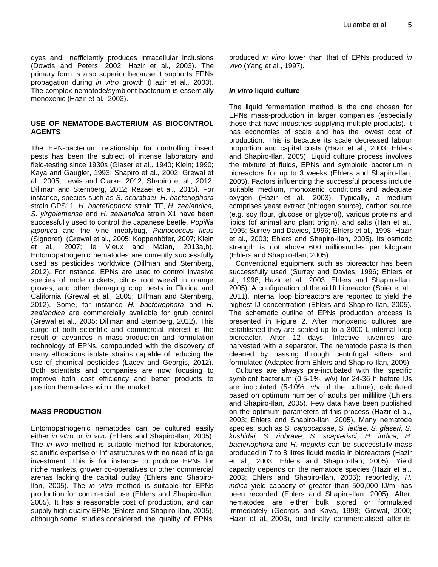dyes and, inefficiently produces intracellular inclusions (Dowds and Peters, 2002; Hazir et al*.,* 2003). The primary form is also superior because it supports EPNs propagation during *in vitro* growth (Hazir et al*.,* 2003). The complex nematode/symbiont bacterium is essentially monoxenic (Hazir et al*.*, 2003).

## **USE OF NEMATODE-BACTERIUM AS BIOCONTROL AGENTS**

The EPN-bacterium relationship for controlling insect pests has been the subject of intense laboratory and field-testing since 1930s (Glaser et al*.,* 1940; Klein; 1990; Kaya and Gaugler, 1993; Shapiro et al*.,* 2002; Grewal et al*.,* 2005; Lewis and Clarke, 2012; Shapiro et al*.,* 2012; Dillman and Sternberg, 2012; Rezaei et al*.,* 2015). For instance, species such as *S. scarabaei*, *H. bacteriophora* strain GPS11, *H. bacteriophora* strain TF, *H. zealandica, S. yirgalemense* and *H. zealandica* strain X1 have been successfully used to control the Japanese beetle, *Popillia japonica* and the vine mealybug*, Planococcus ficus*  (Signoret), (Grewal et al*.,* 2005; Koppenhöfer*,* 2007; Klein et al*.,* 2007; le Vieux and Malan, 2013a,b). Entomopathogenic nematodes are currently successfully used as pesticides worldwide (Dillman and Sternberg, 2012). For instance, EPNs are used to control invasive species of mole crickets, citrus root weevil in orange groves, and other damaging crop pests in Florida and California (Grewal et al*.,* 2005; Dillman and Sternberg, 2012). Some, for instance *H. bacteriophora* and *H. zealandica* are commercially available for grub control (Grewal et al*.,* 2005; Dillman and Sternberg, 2012). This surge of both scientific and commercial interest is the result of advances in mass-production and formulation technology of EPNs, compounded with the discovery of many efficacious isolate strains capable of reducing the use of chemical pesticides (Lacey and Georgis, 2012). Both scientists and companies are now focusing to improve both cost efficiency and better products to position themselves within the market.

#### **MASS PRODUCTION**

Entomopathogenic nematodes can be cultured easily either *in vitro* or *in vivo* (Ehlers and Shapiro-Ilan, 2005). The *in vivo* method is suitable method for laboratories, scientific expertise or infrastructures with no need of large investment. This is for instance to produce EPNs for niche markets, grower co-operatives or other commercial arenas lacking the capital outlay (Ehlers and Shapiro-Ilan, 2005). The *in vitro* method is suitable for EPNs production for commercial use (Ehlers and Shapiro-Ilan, 2005). It has a reasonable cost of production, and can supply high quality EPNs (Ehlers and Shapiro-Ilan, 2005), although some studies considered the quality of EPNs

produced *in vitro* lower than that of EPNs produced *in vivo* (Yang et al*.*, 1997).

#### *In vitro* **liquid culture**

The liquid fermentation method is the one chosen for EPNs mass-production in larger companies (especially those that have industries supplying multiple products). It has economies of scale and has the lowest cost of production. This is because its scale decreased labour proportion and capital costs (Hazir et al*.,* 2003; Ehlers and Shapiro-Ilan, 2005). Liquid culture process involves the mixture of fluids, EPNs and symbiotic bacterium in bioreactors for up to 3 weeks (Ehlers and Shapiro-Ilan, 2005). Factors influencing the successful process include suitable medium, monoxenic conditions and adequate oxygen (Hazir et al*.,* 2003). Typically, a medium comprises yeast extract (nitrogen source), carbon source (e.g. soy flour, glucose or glycerol), various proteins and lipids (of animal and plant origin), and salts (Han et al*.,*  1995; Surrey and Davies, 1996; Ehlers et al*.,* 1998; Hazir et al*.,* 2003; Ehlers and Shapiro-Ilan, 2005). Its osmotic strength is not above 600 milliosmoles per kilogram (Ehlers and Shapiro-Ilan, 2005).

Conventional equipment such as bioreactor has been successfully used (Surrey and Davies, 1996; Ehlers et al*.,* 1998; Hazir et al., 2003; Ehlers and Shapiro-Ilan, 2005). A configuration of the airlift bioreactor (Spier et al., 2011), internal loop bioreactors are reported to yield the highest IJ concentration (Ehlers and Shapiro-Ilan, 2005). The schematic outline of EPNs production process is presented in Figure 2. After monoxenic cultures are established they are scaled up to a 3000 L internal loop bioreactor. After 12 days, Infective juveniles are harvested with a separator. The nematode paste is then cleaned by passing through centrifugal sifters and formulated (Adapted from Ehlers and Shapiro-Ilan, 2005).

Cultures are always pre-incubated with the specific symbiont bacterium (0.5-1%, w/v) for 24-36 h before IJs are inoculated (5-10%, v/v of the culture), calculated based on optimum number of adults per millilitre (Ehlers and Shapiro-Ilan, 2005). Few data have been published on the optimum parameters of this process (Hazir et al*.,*  2003; Ehlers and Shapiro-Ilan, 2005). Many nematode species, such as *S. carpocapsae*, *S. feltiae, S. glaseri, S. kushidai, S. riobrave*, *S. scapterisci*, *H. indica, H. bacteriophora* and *H. megidis* can be successfully mass produced in 7 to 8 litres liquid media in bioreactors (Hazir et al*.,* 2003; Ehlers and Shapiro-Ilan, 2005). Yield capacity depends on the nematode species (Hazir et al*.,*  2003; Ehlers and Shapiro-Ilan, 2005); reportedly, *H. indica* yield capacity of greater than 500,000 IJ/ml has been recorded (Ehlers and Shapiro-Ilan, 2005). After, nematodes are either bulk stored or formulated immediately (Georgis and Kaya, 1998; Grewal, 2000; Hazir et al*.,* 2003), and finally commercialised after its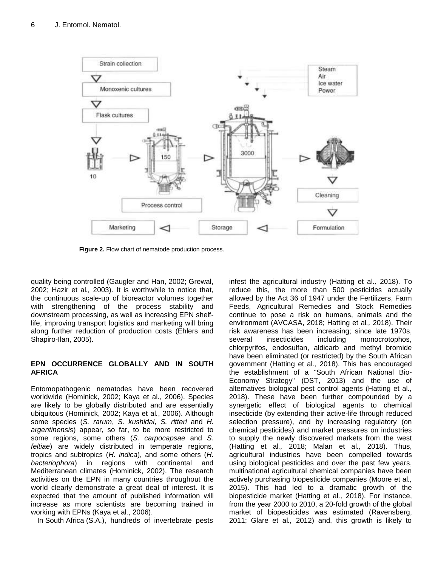

**Figure 2.** Flow chart of nematode production process.

quality being controlled (Gaugler and Han, 2002; Grewal, 2002; Hazir et al*.,* 2003). It is worthwhile to notice that, the continuous scale-up of bioreactor volumes together with strengthening of the process stability and downstream processing, as well as increasing EPN shelflife, improving transport logistics and marketing will bring along further reduction of production costs (Ehlers and Shapiro-Ilan, 2005).

# **EPN OCCURRENCE GLOBALLY AND IN SOUTH AFRICA**

Entomopathogenic nematodes have been recovered worldwide (Hominick, 2002; Kaya et al*.*, 2006). Species are likely to be globally distributed and are essentially ubiquitous (Hominick, 2002; Kaya et al*.*, 2006). Although some species (*S. rarum*, *S. kushidai*, *S. ritteri* and *H. argentinensis*) appear, so far, to be more restricted to some regions, some others (*S. carpocapsae* and *S. feltiae*) are widely distributed in temperate regions, tropics and subtropics (*H. indica*), and some others (*H. bacteriophora*) in regions with continental and Mediterranean climates (Hominick, 2002). The research activities on the EPN in many countries throughout the world clearly demonstrate a great deal of interest. It is expected that the amount of published information will increase as more scientists are becoming trained in working with EPNs (Kaya et al*.*, 2006).

In South Africa (S.A.), hundreds of invertebrate pests

infest the agricultural industry (Hatting et al*.,* 2018). To reduce this, the more than 500 pesticides actually allowed by the Act 36 of 1947 under the Fertilizers, Farm Feeds, Agricultural Remedies and Stock Remedies continue to pose a risk on humans, animals and the environment (AVCASA, 2018; Hatting et al*.,* 2018). Their risk awareness has been increasing; since late 1970s, several insecticides including monocrotophos, chlorpyrifos, endosulfan, aldicarb and methyl bromide have been eliminated (or restricted) by the South African government (Hatting et al*.,* 2018). This has encouraged the establishment of a "South African National Bio-Economy Strategy" (DST, 2013) and the use of alternatives biological pest control agents (Hatting et al*.,* 2018). These have been further compounded by a synergetic effect of biological agents to chemical insecticide (by extending their active-life through reduced selection pressure), and by increasing regulatory (on chemical pesticides) and market pressures on industries to supply the newly discovered markets from the west (Hatting et al*.,* 2018; Malan et al*.,* 2018). Thus, agricultural industries have been compelled towards using biological pesticides and over the past few years, multinational agricultural chemical companies have been actively purchasing biopesticide companies (Moore et al*.,* 2015). This had led to a dramatic growth of the biopesticide market (Hatting et al*.,* 2018). For instance, from the year 2000 to 2010, a 20-fold growth of the global market of biopesticides was estimated (Ravensberg, 2011; Glare et al*.,* 2012) and, this growth is likely to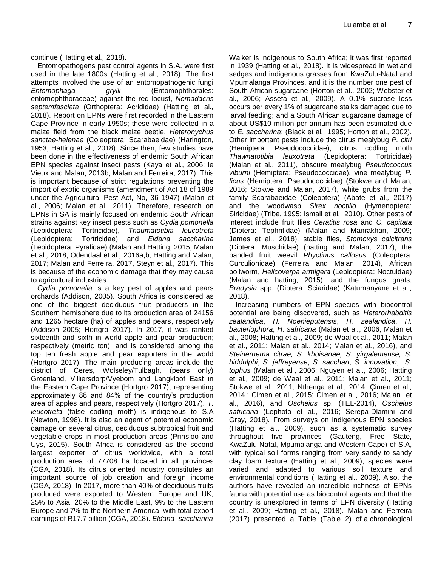continue (Hatting et al*.,* 2018).

Entomopathogens pest control agents in S.A. were first used in the late 1800s (Hatting et al*.,* 2018). The first attempts involved the use of an entomopathogenic fungi *Entomophaga grylli* (Entomophthorales: entomophthoraceae) against the red locust, *Nomadacris septemfasciata* (Orthoptera: Acrididae) (Hatting et al*.,* 2018). Report on EPNs were first recorded in the Eastern Cape Province in early 1950s; these were collected in a maize field from the black maize beetle, *Heteronychus sanctae-helenae* (Coleoptera: Scarabaeidae) (Harington, 1953; Hatting et al*.,* 2018). Since then, few studies have been done in the effectiveness of endemic South African EPN species against insect pests (Kaya et al*.*, 2006; le Vieux and Malan, 2013b; Malan and Ferreira, 2017). This is important because of strict regulations preventing the import of exotic organisms (amendment of Act 18 of 1989 under the Agricultural Pest Act, No, 36 1947) (Malan et al., 2006; Malan et al., 2011). Therefore, research on EPNs in SA is mainly focused on endemic South African strains against key insect pests such as *Cydia pomonella* (Lepidoptera: Tortricidae), *Thaumatotibia leucotreta* (Lepidoptera: Tortricidae) and *Eldana saccharina* (Lepidoptera: Pyralidae) (Malan and Hatting, 2015; Malan et al*.,* 2018; Odendaal et al*.,* 2016a,b; Hatting and Malan, 2017; Malan and Ferreira, 2017, Steyn et al*.,* 2017). This is because of the economic damage that they may cause to agricultural industries.

*Cydia pomonella* is a key pest of apples and pears orchards (Addison, 2005). South Africa is considered as one of the biggest deciduous fruit producers in the Southern hemisphere due to its production area of 24156 and 1265 hectare (ha) of apples and pears, respectively (Addison 2005; Hortgro 2017). In 2017, it was ranked sixteenth and sixth in world apple and pear production; respectively (metric ton), and is considered among the top ten fresh apple and pear exporters in the world (Hortgro 2017). The main producing areas include the district of Ceres, Wolseley/Tulbagh, (pears only) Groenland, Villiersdorp/Vyebom and Langkloof East in the Eastern Cape Province (Hortgro 2017); representing approximately 88 and 84% of the country's production area of apples and pears, respectively (Hortgro 2017). *T. leucotreta* (false codling moth) is indigenous to S.A (Newton, 1998). It is also an agent of potential economic damage on several citrus, deciduous subtropical fruit and vegetable crops in most production areas (Prinsloo and Uys, 2015). South Africa is considered as the second largest exporter of citrus worldwide, with a total production area of 77708 ha located in all provinces (CGA, 2018). Its citrus oriented industry constitutes an important source of job creation and foreign income (CGA, 2018). In 2017, more than 40% of deciduous fruits produced were exported to Western Europe and UK, 25% to Asia, 20% to the Middle East, 9% to the Eastern Europe and 7% to the Northern America; with total export earnings of R17.7 billion (CGA, 2018). *Eldana saccharina*

Walker is indigenous to South Africa; it was first reported in 1939 (Hatting et al*.,* 2018). It is widespread in wetland sedges and indigenous grasses from KwaZulu-Natal and Mpumalanga Provinces, and it is the number one pest of South African sugarcane (Horton et al*.,* 2002; Webster et al*.,* 2006; Assefa et al*.,* 2009). A 0.1% sucrose loss occurs per every 1% of sugarcane stalks damaged due to larval feeding; and a South African sugarcane damage of about US\$10 million per annum has been estimated due to *E. saccharina*; (Black et al*.,* 1995; Horton et al*.,* 2002). Other important pests include the citrus mealybug *P. citri* (Hemiptera: Pseudococcidae), citrus codling moth *Thawnatotibia leuxotreta* (Lepidoptera: Tortricidae) (Malan et al., 2011), obscure mealybug *Pseudococcus viburni* (Hemiptera: Pseudococcidae), vine mealybug *P. ficus* (Hemiptera: Pseudococcidae) (Stokwe and Malan, 2016; Stokwe and Malan, 2017), white grubs from the family Scarabaeidae (Coleoptera) (Abate et al*.,* 2017) and the woodwasp *Sirex noctilio* (Hymenoptera: Siricidae) (Tribe, 1995; Ismail et al*.,* 2010). Other pests of interest include fruit flies *Ceratitis rosa* and *C. capitata* (Diptera: Tephritidae) (Malan and Manrakhan, 2009; James et al*.,* 2018), stable flies, *Stomoxys calcitrans* (Diptera: Muschidae) (hatting and Malan, 2017), the banded fruit weevil *Phyctinus callosus* (Coleoptera: Curculionidae) (Ferreira and Malan, 2014), African bollworm, *Helicoverpa armigera* (Lepidoptera: Noctuidae) (Malan and hatting, 2015), and the fungus gnats, *Bradysia* spp. (Diptera: Sciaridae) (Katumanyane et al*.,* 2018).

Increasing numbers of EPN species with biocontrol potential are being discovered, such as *Heterorhabditis zealandica*, *H. Noenieputensis*, *H. zealandica*, *H. bacteriophora*, *H. safricana* (Malan et al*.*, 2006; Malan et al., 2008; Hatting et al*.,* 2009; de Waal et al*.,* 2011; Malan et al., 2011; Malan et al*.*, 2014; Malan et al*.*, 2016), and *Steinernema citrae, S. khoisanae, S. yirgalemense, S. biddulphi*, *S. jeffreyense*, *S. sacchari*, *S. innovation*, *S. tophus* (Malan et al*.*, 2006; Nguyen et al., 2006; Hatting et al*.,* 2009; de Waal et al*.,* 2011; Malan et al., 2011; Stokwe et al., 2011; Nthenga et al*.,* 2014; Çimen et al*.,*  2014 ; Cimen et al*.*, 2015; Cimen et al*.,* 2016; Malan et al*.*, 2016), and *Oscheius* sp. (TEL-2014), *Oscheius safricana* (Lephoto et al*.*, 2016; Serepa-Dlamini and Gray, 2018)*.* From surveys on indigenous EPN species (Hatting et al*.,* 2009), such as a systematic survey throughout five provinces (Gauteng, Free State, KwaZulu-Natal, Mpumalanga and Western Cape) of S.A, with typical soil forms ranging from very sandy to sandy clay loam texture (Hatting et al., 2009), species were varied and adapted to various soil texture and environmental conditions (Hatting et al*.,* 2009). Also, the authors have revealed an incredible richness of EPNs fauna with potential use as biocontrol agents and that the country is unexplored in terms of EPN diversity (Hatting et al*.,* 2009; Hatting et al*.,* 2018). Malan and Ferreira (2017) presented a Table (Table 2) of a chronological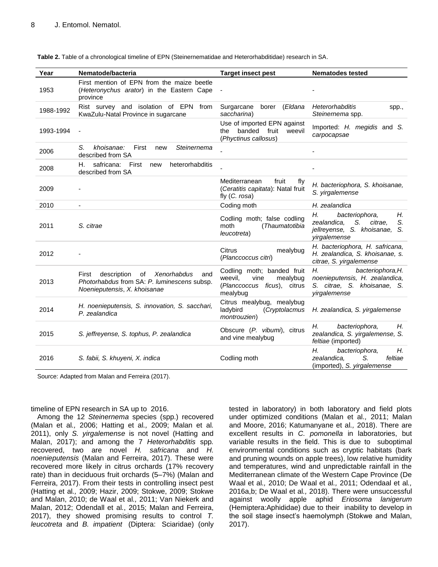| Year      | Nematode/bacteria                                                                                                            | <b>Target insect pest</b>                                                                            | <b>Nematodes tested</b>                                                                                           |
|-----------|------------------------------------------------------------------------------------------------------------------------------|------------------------------------------------------------------------------------------------------|-------------------------------------------------------------------------------------------------------------------|
| 1953      | First mention of EPN from the maize beetle<br>(Heteronychus arator) in the Eastern Cape<br>province                          |                                                                                                      |                                                                                                                   |
| 1988-1992 | Rist survey and isolation of EPN<br>from<br>KwaZulu-Natal Province in sugarcane                                              | Surgarcane<br>borer<br>(Eldana<br>saccharina)                                                        | Heterorhabditis<br>spp.,<br>Steinernema spp.                                                                      |
| 1993-1994 |                                                                                                                              | Use of imported EPN against<br>banded<br>fruit<br>weevil<br>the<br>(Phyctinus callosus)              | Imported: H. megidis and S.<br>carpocapsae                                                                        |
| 2006      | S.<br>First<br>Steinernema<br>khoisanae:<br>new<br>described from SA                                                         |                                                                                                      |                                                                                                                   |
| 2008      | safricana:<br>Н.<br>First<br>heterorhabditis<br>new<br>described from SA                                                     |                                                                                                      |                                                                                                                   |
| 2009      |                                                                                                                              | Mediterranean<br>fruit<br>fly<br>(Ceratitis capitata): Natal fruit<br>fly $(C. rosa)$                | H. bacteriophora, S. khoisanae,<br>S. yirgalemense                                                                |
| 2010      | $\blacksquare$                                                                                                               | Coding moth                                                                                          | H. zealandica                                                                                                     |
| 2011      | S. citrae                                                                                                                    | Codling moth; false codling<br>(Thaumatotibia<br>moth<br>leucotreta)                                 | Н.<br>bacteriophora,<br>Н.<br>zealandica.<br>S.<br>citrae.<br>S.<br>jellreyense, S. khoisanae, S.<br>yirgalemense |
| 2012      |                                                                                                                              | <b>Citrus</b><br>mealybug<br>(Planccoccus citri)                                                     | H. bacteriophora, H. safricana,<br>H. zealandica, S. khoisanae, s.<br>citrae, S. yirgalemense                     |
| 2013      | description<br>of Xenorhabdus<br>First<br>and<br>Photorhabdus from SA: P. luminescens subsp.<br>Noenieputensis, X. khoisanae | Codling moth; banded fruit<br>weevil.<br>vine<br>mealybug<br>(Planccoccus ficus), citrus<br>mealybug | Н.<br>bacteriophora, H.<br>noenieputensis, H. zealandica,<br>S. citrae, S. khoisanae, S.<br>yirgalemense          |
| 2014      | H. noenieputensis, S. innovation, S. sacchari,<br>P. zealandica                                                              | Citrus mealybug, mealybug<br>ladybird<br>(Cryptolacmus<br>montrouzien)                               | H. zealandica, S. yirgalemense                                                                                    |
| 2015      | S. jeffreyense, S. tophus, P. zealandica                                                                                     | Obscure (P. vibumi), citrus<br>and vine mealybug                                                     | Н.<br>bacteriophora,<br>Н.<br>zealandica, S. yirgalemense, S.<br>feltiae (imported)                               |
| 2016      | S. fabii, S. khuyeni, X. indica                                                                                              | Codling moth                                                                                         | Н.<br>Н.<br>bacteriophora,<br>S.<br>zealandica.<br>feltiae<br>(imported), S. yirgalemense                         |

**Table 2.** Table of a chronological timeline of EPN (Steinernematidae and Heterorhabditidae) research in SA.

Source: Adapted from Malan and Ferreira (2017).

#### timeline of EPN research in SA up to 2016.

Among the 12 *Steinernema* species (spp.) recovered (Malan et al*.,* 2006; Hatting et al*.,* 2009; Malan et al*.*  2011), only *S. yirgalemense* is not novel (Hatting and Malan, 2017); and among the 7 *Heterorhabditis* spp*.*  recovered, two are novel *H. safricana* and *H. noenieputensis* (Malan and Ferreira, 2017). These were recovered more likely in citrus orchards (17% recovery rate) than in deciduous fruit orchards (5–7%) (Malan and Ferreira, 2017). From their tests in controlling insect pest (Hatting et al*.,* 2009; Hazir, 2009; Stokwe, 2009; Stokwe and Malan, 2010; de Waal et al*.,* 2011; Van Niekerk and Malan, 2012; Odendall et al*.*, 2015; Malan and Ferreira, 2017), they showed promising results to control *T. leucotreta* and *B. impatient* (Diptera: Sciaridae) (only

tested in laboratory) in both laboratory and field plots under optimized conditions (Malan et al*.,* 2011; Malan and Moore, 2016; Katumanyane et al*.,* 2018). There are excellent results in *C. pomonella* in laboratories, but variable results in the field. This is due to suboptimal environmental conditions such as cryptic habitats (bark and pruning wounds on apple trees), low relative humidity and temperatures, wind and unpredictable rainfall in the Mediterranean climate of the Western Cape Province (De Waal et al*.,* 2010; De Waal et al*.,* 2011; Odendaal et al*.,* 2016a,b; De Waal et al*.,* 2018). There were unsuccessful against woolly apple aphid *Eriosoma lanigerum*  (Hemiptera:Aphididae) due to their inability to develop in the soil stage insect's haemolymph (Stokwe and Malan, 2017).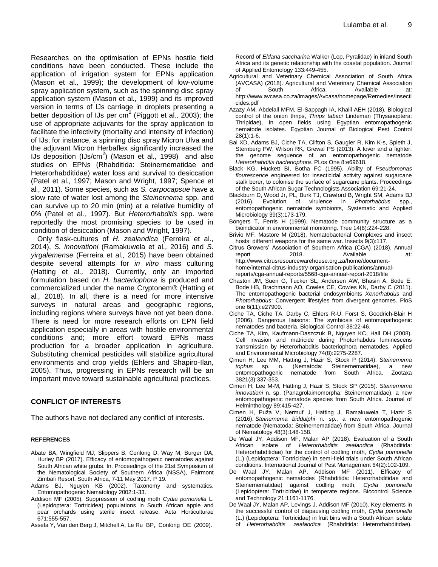Researches on the optimisation of EPNs hostile field conditions have been conducted. These include the application of irrigation system for EPNs application (Mason et al*.,* 1999); the development of low-volume spray application system, such as the spinning disc spray application system (Mason et al*.,* 1999) and its improved version in terms of IJs carriage in droplets presenting a better deposition of IJs per cm<sup>2</sup> (Piggott et al., 2003); the use of appropriate adjuvants for the spray application to facilitate the infectivity (mortality and intensity of infection) of IJs; for instance, a spinning disc spray Micron Ulva and the adjuvant Micron Herbaflex significantly increased the IJs deposition (IJs/cm<sup>2</sup> ) (Mason et al*.,* 1998) and also studies on EPNs (Rhabditida: Steinernematidae and Heterorhabditidae) water loss and survival to desiccation (Patel et al*.,* 1997; Mason and Wright, 1997; Spence et al*.,* 2011). Some species, such as *S. carpocapsue* have a slow rate of water lost among the *Steinernema* spp. and can survive up to 20 min (min) at a relative humidity of 0% (Patel et al*.,* 1997). But *Heterorhabditis* spp. were reportedly the most promising species to be used in condition of desiccation (Mason and Wright, 1997).

Only flask-cultures of *H. zealandica* (Ferreira et al*.,* 2014), *S. innovationi* (Ramakuwela et al*.,* 2016) and *S. yirgalemense* (Ferreira et al*.,* 2015) have been obtained despite several attempts for *in vitro* mass culturing (Hatting et al*.,* 2018). Currently, only an imported formulation based on *H. bacteriophora* is produced and commercialized under the name Cryptonem® (Hatting et al*.,* 2018). In all, there is a need for more intensive surveys in natural areas and geographic regions, including regions where surveys have not yet been done. There is need for more research efforts on EPN field application especially in areas with hostile environmental conditions and; more effort toward EPNs mass production for a broader application in agriculture. Substituting chemical pesticides will stabilize agricultural environments and crop yields (Ehlers and Shapiro-Ilan, 2005). Thus, progressing in EPNs research will be an important move toward sustainable agricultural practices.

# **CONFLICT OF INTERESTS**

The authors have not declared any conflict of interests.

#### **REFERENCES**

- Abate BA, Wingfield MJ, Slippers B, Conlong D, Way M, Burger DA, Hurley BP (2017). Efficacy of entomopathogenic nematodes against South African white grubs. In. Proceedings of the 21st Symposium of the Nematological Society of Southern Africa (NSSA), Fairmont Zimbali Resort, South Africa, 7-11 May 2017. P 19.
- Adams BJ, Nguyen KB (2002). Taxonomy and systematics. Entomopathogenic Nematology 2002:1-33.
- Addison MF (2005). Suppression of codling moth *Cydia pomonella* L. (Lepidoptera: Tortricidea) populations in South African apple and pear orchards using sterile insect release. Acta Horticulturae 671:555-557.
- Assefa Y, Van den Berg J, Mitchell A, Le Ru BP, Conlong DE (2009).

Record of *Eldana saccharina* Walker (Lep, Pyralidae) in inland South Africa and its genetic relationship with the coastal population. Journal of Applied Entomology 133:449-455.

- Agricultural and Veterinary Chemical Association of South Africa (AVCASA) (2018). Agricultural and Veterinary Chemical Association of South Africa. Available at: http://www.avcasa.co.za/images/Avcasa/homepage/Remedies/Insecti cides.pdf
- Azazy AM, Abdelall MFM, El-Sappagh IA, Khalil AEH (2018). Biological control of the onion thrips, *Thrips tabaci* Lindeman (Thysanoptera: Thripidae), in open fields using Egyptian entomopathogenic nematode isolates. Egyptian Journal of Biological Pest Control 28(1):1-6.
- Bai XD, Adams BJ, Ciche TA, Clifton S, Gaugler R, Kim K-s, Spieth J, Sternberg PW, Wilson RK, Grewal PS (2013). A lover and a fighter: the genome sequence of an entomopathogenic nematode *Heterorhabditis bacteriophora*. PLos One 8:e69618.
- Black KG, Huckett BI, Botha FC (1995). Ability of *Pseudomonas flourescence* engineered for insecticidal activity against sugarcane stalk borer, to colonise the surface of sugarcane plants. Proceedings of the South African Sugar Technologists Association 69:21-24.
- Blackburn D, Wood Jr, PL, Burk TJ, Crawford B, Wright SM, Adams BJ (2016). Evolution of virulence in *Photorhabdus* spp., entomopathogenic nematode symbionts, Systematic and Applied Microbiology 39(3):173-179.
- Bongers T, Ferris H (1999). Nematode community structure as a bioindicator in environmental monitoring. Tree 14(6):224-228.
- Brivio MF, Mastore M (2018). Nematobacterial Complexes and insect hosts: different weapons for the same war. Insects 9(3):117.
- Citrus Growers' Association of Southern Africa (CGA) (2018). Annual report 2018. Available at: http://www.citrusresourcewarehouse.org.za/home/documenthome/internal-citrus-industry-organisation-publications/annualreports/cga-annual-reports/5568-cga-annual-report-2018/file
- Chaston JM, Suen G, Tucker SL, Andersen AW, Bhasin A, Bode E, Bode HB, Brachmann AO, Cowles CE, Cowles KN, Darby C (2011). The entomopathogenic bacterial endosymbionts *Xenorhabdus* and *Photorhabdus*: Convergent lifestyles from divergent genomes. PloS one 6(11):e27909.
- Ciche TA, Ciche TA, Darby C, Ehlers R-U, Forst S, Goodrich-Blair H (2006). Dangerous liaisons: The symbiosis of entomopathogenic nematodes and bacteria. Biological Control 38:22-46.
- Ciche TA, Kim, Kaufmann-Daszczuk B, Nguyen KC, Hall DH (2008). Cell invasion and matricide during Photorhabdus luminescens transmission by Heterorhabditis bacteriophora nematodes. Applied and Environmental Microbiology 74(8):2275-2287.
- Çimen H, Lee MM, Hatting J, Hazir S, Stock P (2014). *Steinernema tophus* sp. n. (Nematoda: Steinernematidae), a new nematode from South Africa. 3821(3):337-353.
- Cimen H, Lee M-M, Hatting J, Hazir S, Stock SP (2015). *Steinernema innovationi* n. sp. (Panagrolaimomorpha: Steinernematidae), a new entomopathogenic nematode species from South Africa. Journal of Helminthology 89:415-427.
- Cimen H, Puža V, Nermuť J, Hatting J, Ramakuwela T, Hazir S (2016). *Steinernema biddulphi* n. sp., a new entomopathogenic nematode (Nematoda: Steinernematidae) from South Africa. Journal of Nematology 48(3):148-158.
- De Waal JY, Addison MF, Malan AP (2018). Evaluation of a South African isolate of *Heterorhabditis zealandica* (Rhabditida: Heterorhabditidae) for the control of codling moth, *Cydia pomonella* (L.) (Lepidoptera: Tortricidae) in semi-field trials under South African conditions. International Journal of Pest Management 64(2):102-109.
- De Waal JY, Malan AP, Addison MF (2011). Efficacy of entomopathogenic nematodes (Rhabditida: Heterorhabditidae and Steinernematidae) against codling moth, *Cydia pomonella* (Lepidoptera: Tortricidae) in temperate regions. Biocontrol Science and Technology 21:1161-1176.
- De Waal JY, Malan AP, Levings J, Addison MF (2010). Key elements in the successful control of diapausing codling moth, *Cydia pomonella* (L.) (Lepidoptera: Tortricidae) in fruit bins with a South African isolate of *Heterorhabditis zealandica* (Rhabditida: Heterorhabditidae).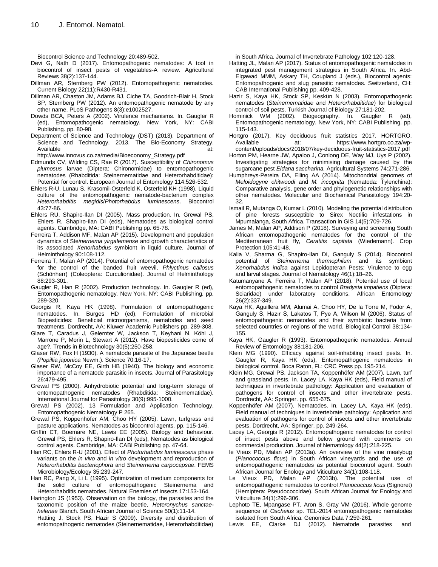Biocontrol Science and Technology 20:489-502.

- Devi G, Nath D (2017). Entomopathogenic nematodes: A tool in biocontrol of insect pests of vegetables-A review. Agricultural Reviews 38(2):137-144.
- Dillman AR, Sternberg PW (2012). Entomopathogenic nematodes. Current Biology 22(11):R430-R431.
- Dillman AR, Chaston JM, Adams BJ, Ciche TA, Goodrich-Blair H, Stock SP, Sternberg PW (2012). An entomopathogenic nematode by any other name. PLoS Pathogens 8(3):e1002527.
- Dowds BCA, Peters A (2002). Virulence mechanisms. In. Gaugler R (ed), Entomopathogenic nematology*.* New York, NY: CABI Publishing. pp. 80-98.
- Department of Science and Technology (DST) (2013). Department of Science and Technology, 2013. The Bio-Economy Strategy. Available at:

http://www.innovus.co.za/media/Bioeconomy\_Strategy.pdf

- Edmunds CV, Wilding CS, Rae R (2017). Susceptibility of *Chironomus plumosus* larvae (Diptera: Chironomidae) to entomopathogenic nematodes (Rhabditida: Steinernematidae and Heterorhabditidae): Potential for control. European Journal of Entomology 114:526-532.
- Ehlers R-U, Lunau S, Krasomil-Osterfeld K, Osterfeld KH (1998). Liquid culture of the entomopathogenic nematode-bacterium complex *Heterorhabditis megidis*/*Photorhabdus luminescens*. Biocontrol 43:77-86.
- Ehlers RU, Shapiro-Ilan DI (2005). Mass production. In. Grewal PS, Ehlers R, Shapiro-Ilan DI (eds), Nematodes as biological control agents. Cambridge, MA: CABI Publishing pp. 65-78.
- Ferreira T, Addison MF, Malan AP (2015). Development and population dynamics of Ste*inernema yirgalemense* and growth characteristics of its associated *Xenorhabdus* symbiont in liquid culture. Journal of Helminthology 90:108-112.
- Ferreira T, Malan AP (2014). Potential of entomopathogenic nematodes for the control of the banded fruit weevil, *Phlyctinus callosus* (Schönherr) (Coleoptera: Curculionidae). Journal of Helminthology 88:293-301.
- Gaugler R, Han R (2002). Production technology. In. Gaugler R (ed), Entomopathogenic nematology*.* New York, NY: CABI Publishing*.* pp. 289-320.
- Georgis R, Kaya HK (1998). Formulation of entomopathogenic nematodes. In. Burges HD (ed), Formulation of microbial Biopesticides: Beneficial microorganisms, nematodes and seed treatments. Dordrecht, AA: Kluwer Academic Publishers pp. 289-308.
- Glare T, Caradus J, Gelernter W, Jackson T, Keyhani N, Köhl J, Marrone P, Morin L, Stewart A (2012). Have biopesticides come of age?. Trends in Biotechnology 30(5):250-258.
- Glaser RW, Fox H (1930). A nematode parasite of the Japanese beetle *(Popillia japonica* Newm.). Science 70:16-17.
- Glaser RW, McCoy EE, Girth HB (1940). The biology and economic importance of a nematode parasitic in insects. Journal of Parasitology 26:479-495.
- Grewal PS (2000). Anhydrobiotic potential and long-term storage of entomopathogenic nematodes (Rhabditida: Steinernematidae). International Journal for Parasitology 30(9):995-1000.
- Grewal PS (2002). 13 Formulation and Application Technology. Entomopathogenic Nematology P 265.
- Grewal PS, Koppenhöfer AM, Choo HY (2005). Lawn, turfgrass and pasture applications. Nematodes as biocontrol agents. pp. 115-146.
- Griffin CT, Boemare NE, Lewis EE (2005). Biology and behaviour. Grewal PS, Ehlers R, Shapiro-Ilan DI (eds), Nematodes as biological control agents. Cambridge, MA: CABI Publishing pp. 47-64.
- Han RC, Ehlers R-U (2001). Effect of *Photorhabdus luminescens* phase variants on the *in vivo* and *in vitro* development and reproduction of *Heterorhabditis bacteriophora* and *Steinernema carpocapsae*. FEMS Microbiology/Ecology 35:239-247.
- Han RC, Pang X, Li L (1995). Optimization of medium components for the solid culture of entomopathogenic Steinernema and Heterorhabditis nematodes. Natural Enemies of Insects 17:153-164.
- Harington JS (1953). Observation on the biology, the parasites and the taxonomic position of the maize beetle, *Heteronychus sanctaehelenae* Blanch. South African Journal of Science 50(1):11-14.

Hatting J, Stock PS, Hazir S (2009). Diversity and distribution of entomopathogenic nematodes (Steinernematidae, Heterorhabditidae) in South Africa. Journal of Invertebrate Pathology 102:120-128.

- Hatting JL, Malan AP (2017). Status of entomopathogenic nematodes in integrated pest management strategies in South Africa. In. Abd-Elgawad MMM, Askary TH, Coupland J (eds.), Biocontrol agents: Entomopathogenic and slug parasitic nematodes. Switzerland, CH: CAB International Publishing pp. 409-428.
- Hazir S, Kaya HK, Stock SP, Keskün N (2003). Entomopathogenic nematodes (*Steinernematidae* and *Heterorhabditidae*) for biological control of soil pests. Turkish Journal of Biology 27:181-202.
- Hominick WM (2002). Biogeography. In. Gaugler R (ed), Entomopathogenic nematology*.* New York, NY: CABI Publishing*.* pp. 115-143.
- Hortgro (2017). Key deciduous fruit statistics 2017. HORTGRO. Available at: https://www.hortgro.co.za/wpcontent/uploads/docs/2018/07/key-deciduous-fruit-statistics-2017.pdf
- Horton PM, Hearne JW, Apaloo J, Conlong DE, Way MJ, Uys P (2002). Investigating strategies for minimising damage caused by the sugarcane pest *Eldana saccharina.* Agricultural Systems 74:271-286.
- Humphreys-Pereira DA, Elling AA (2014). Mitochondrial genomes of *Meloidogyne chitwoodi* and *M. incognita* (Nematoda: Tylenchina): Comparative analysis, gene order and phylogenetic relationships with other nematodes. Molecular and Biochemical Parasitology 194:20- 32.
- Ismail R, Mutanga O, Kumar L (2010). Modeling the potential distribution of pine forests susceptible to Sirex Noctilio infestations in Mpumalanga, South Africa. Transaction in GIS 14(5):709-726.
- James M, Malan AP, Addison P (2018). Surveying and screening South African entomopathogenic nematodes for the control of the Mediterranean fruit fly, *Ceratitis capitata* (Wiedemann). Crop Protection 105:41-48.
- Kalia V, Sharma G, Shapiro-Ilan DI, Ganguly S (2014). Biocontrol potential of *Steinernema thermophilum* and its symbiont *Xenorhabdus indica* against Lepidopteran Pests: Virulence to egg and larval stages. Journal of Nematology 46(1):18–26.
- Katumanyane A. Ferreira T, Malan AP (2018). Potential use of local entomopathogenic nematodes to control *Bradysia impatiens* (Diptera: Sciaridae) under laboratory conditions. African Entomology 26(2):337-349.
- Kaya HK, Aguillera MM, Alumai A, Choo HY, De la Torre M, Fodor A, Ganguly S, Hazır S, Lakatos T, Pye A, Wilson M (2006). Status of entomopathogenic nematodes and their symbiotic bacteria from selected countries or regions of the world. Biological Control 38:134- 155.
- Kaya HK, Gaugler R (1993). Entomopathogenic nematodes. Annual Review of Entomology 38:181-206.
- Klein MG (1990). Efficacy against soil-inhabiting insect pests. In. Gaugler R, Kaya HK (eds), Entomopathogenic nematodes in biological control. Boca Raton, FL: CRC Press pp. 195-214.
- Klein MG, Grewal PS, Jackson TA, Koppenhöfer AM (2007). Lawn, turf and grassland pests. In. Lacey LA, Kaya HK (eds), Field manual of techniques in invertebrate pathology: Application and evaluation of pathogens for control of insects and other invertebrate pests. Dordrecht, AA: Springer. pp. 655-675.
- Koppenhöfer AM (2007). Nematodes. In. Lacey LA, Kaya HK (eds), Field manual of techniques in invertebrate pathology: Application and evaluation of pathogens for control of insects and other invertebrate pests. Dordrecht, AA: Springer. pp. 249-264.
- Lacey LA, Georgis R (2012). Entomopathogenic nematodes for control of insect pests above and below ground with comments on commercial production. Journal of Nematology 44(2):218-225.
- le Vieux PD, Malan AP (2013a). An overview of the vine mealybug (*Planococcus ficus*) in South African vineyards and the use of entomopathogenic nematodes as potential biocontrol agent. South African Journal for Enology and Viticulture 34(1):108-118.
- Le Vieux PD, Malan AP (2013b). The potential use of entomopathogenic nematodes to control *Planococcus ficus* (Signoret) (Hemiptera: Pseudococcidae). South African Journal for Enology and Viticulture 34(1):296-306.
- Lephoto TE, Mpangase PT, Aron S, Gray VM (2016). Whole genome sequence of *Oscheius* sp. TEL-2014 entomopathogenic nematodes isolated from South Africa. Genomics Data 7:259-261.
- Lewis EE, Clarke DJ (2012). Nematode parasites and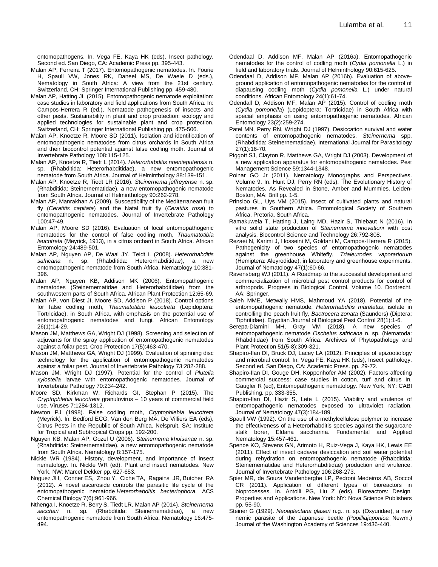entomopathogens. In. Vega FE, Kaya HK (eds), Insect pathology. Second ed. San Diego, CA: Academic Press pp. 395-443.

- Malan AP, Ferreira T (2017). Entomopathogenic nematodes. In. Fourie H, Spaull VW, Jones RK, Daneel MS, De Waele D (eds.), Nematology in South Africa: A view from the 21st century. Switzerland, CH: Springer International Publishing pp. 459-480.
- Malan AP, Hatting JL (2015). Entomopathogenic nematode exploitation: case studies in laboratory and field applications from South Africa. In: Campos-Herrera R (ed.), Nematode pathogenesis of insects and other pests. Sustainability in plant and crop protection: ecology and applied technologies for sustainable plant and crop protection. Switzerland, CH: Springer International Publishing pp. 475-506.
- Malan AP, Knoetze R, Moore SD (2011). Isolation and identification of entomopathogenic nematodes from citrus orchards in South Africa and their biocontrol potential against false codling moth. Journal of Invertebrate Pathology 108:115-125.
- Malan AP, Knoetze R, Tiedt L (2014). *Heterorhabditis noenieputensis* n. sp. (Rhabditida: Heterorhabditidae), a new entomopathogenic nematode from South Africa. Journal of Helminthology 88:139-151.
- Malan AP, Knoetze R, Tiedt LR (2016). *Steinernema jeffreyense* n. sp. (Rhabditida: Steinernematidae), a new entomopathogenic nematode from South Africa. Journal of Helminthology 90:262-278.
- Malan AP, Manrakhan A (2009). Susceptibility of the Mediterranean fruit fly (*Ceratitis capitata*) and the Natal fruit fly (*Ceratitis rosa*) to entomopathogenic nematodes. Journal of Invertebrate Pathology 100:47-49.
- Malan AP, Moore SD (2016). Evaluation of local entomopathogenic nematodes for the control of false codling moth, *Thaumatotibia leucotreta* (Meyrick, 1913), in a citrus orchard in South Africa. African Entomology 24:489-501.
- Malan AP, Nguyen AP, De Waal JY, Teidt L (2008). *Heterorhabditis safricana* n. sp. (Rhabditida: Heterorhabditidae), a new entomopathogenic nematode from South Africa. Nematology 10:381- 396.
- Malan AP, Nguyen KB, Addison MK (2006). Entomopathogenic nematodes (Steinernematidae and Heterorhabditidae) from the southwestern parts of South Africa. African Plant Protection 12:65-69.
- Malan AP, von Diest JI, Moore SD, Addison P (2018). Control options for false codling moth, *Thaumatotibia leucotreta* (Lepidoptera: Tortricidae), in South Africa, with emphasis on the potential use of entomopathogenic nematodes and fungi. African Entomology 26(1):14-29.
- Mason JM, Matthews GA, Wright DJ (1998). Screening and selection of adjuvants for the spray application of entomopathogenic nematodes against a foliar pest. Crop Protection 17(5):463-470.
- Mason JM, Matthews GA, Wright DJ (1999). Evaluation of spinning disc technology for the application of entomopathogenic nematodes against a foliar pest. Journal of Invertebrate Pathology 73:282-288.
- Mason JM, Wright DJ (1997). Potential for the control of *Plutella xylostella* larvae with entomopathogenic nematodes. Journal of Invertebrate Pathology 70:234-242.
- Moore SD, Kirkman W, Richards GI, Stephan P (2015). The *Cryptophlebia leucotreta* granulovirus – 10 years of commercial field use. Viruses 7:1284-1312.
- Newton PJ (1998). False codling moth, *Cryptophlebia leucotreta* (Meyrick). In: Bedford ECG, Van den Berg MA, De Villiers EA (eds), Citrus Pests in the Republic of South Africa. Nelspruit, SA: Institute for Tropical and Subtropical Crops pp. 192-200.
- Nguyen KB, Malan AP, Gozel U (2006). *Steinernema khoisanae* n. sp. (Rhabditida: Steinernematidae), a new entomopathogenic nematode from South Africa. Nematology 8:157-175.
- Nickle WR (1984). History, development, and importance of insect nematology. In. Nickle WR (ed), Plant and insect nematodes. New York, NW: Marcel Dekker pp. 627-653.
- Noguez JH, Conner ES, Zhou Y, Ciche TA, Ragains JR, Butcher RA (2012). A novel ascaroside controls the parasitic life cycle of the entomopathogenic nematode *Heterorhabditis bacteriophora.* ACS Chemical Biology 7(6):961-966.
- Nthenga I, Knoetze R, Berry S, Tiedt LR, Malan AP (2014). *Steinernema sacchari* n. sp. (Rhabditida: Steinernematidae), a new entomopathogenic nematode from South Africa. Nematology 16:475- 494.
- Odendaal D, Addison MF, Malan AP (2016a). Entomopathogenic nematodes for the control of codling moth (*Cydia pomonella* L.) in field and laboratory trials. Journal of Helminthology 90:615-625.
- Odendaal D, Addison MF, Malan AP (2016b). Evaluation of aboveground application of entomopathogenic nematodes for the control of diapausing codling moth (*Cydia pomonella* L.) under natural conditions. African Entomology 24(1):61-74.
- Odendall D, Addison MF, Malan AP (2015). Control of codling moth (*Cydia pomonella*) (Lepidoptera: Tortricidae) in South Africa with special emphasis on using entomopathogenic nematodes. African Entomology 23(2):259-274.
- Patel MN, Perry RN, Wright DJ (1997). Desiccation survival and water contents of entomopathogenic nematodes, *Steinernema* spp. (Rhabditida: Steinernematidae). International Journal for Parasitology 27(1):16-70.
- Piggott SJ, Clayton R, Matthews GA, Wright DJ (2003). Development of a new application apparatus for entomopathogenic nematodes. Pest Management Science 59:1344-1348.
- Poinar GO Jr (2011). Nematology Monographs and Perspectives. Volume 9. In. Hunt DJ, Perry RN (eds), The Evolutionary History of Nematodes. As Revealed in Stone, Amber and Mummies. Leiden-Boston, MA: Brill pp. 1-5.
- Prinsloo GL, Uys VM (2015). Insect of cultivated plants and natural pastures in Southern Africa. Entomological Society of Southern Africa, Pretoria, South Africa.
- Ramakuwela T, Hatting J, Laing MD, Hazir S, Thiebaut N (2016). In vitro solid state production of *Steinernema innovationi* with cost analysis. Biocontrol Science and Technology 26:792-808.
- Rezaei N, Karimi J, Hosseini M, Goldani M, Campos-Herrera R (2015). Pathogenicity of two species of entomopathogenic nematodes against the greenhouse Whitefly, *Trialeurodes vaporariorum* (Hemiptera: Aleyrodidae), in laboratory and greenhouse experiments. Journal of Nematology 47(1):60-66.
- Ravensberg WJ (2011). A Roadmap to the successful development and commercialization of microbial pest control products for control of arthropods. Progress in Biological Control. Volume 10. Dordrecht, AA: Springer.
- Saleh MME, Metwally HMS, Mahmoud YA (2018). Potential of the entomopathogenic nematode, *Heterorhabditis marelatus*, isolate in controlling the peach fruit fly, *Bactrocera zonata* (Saunders) (Diptera: Tiphritidae). Egyptian Journal of Biological Pest Control 28(1):1-6.
- Serepa-Dlamini MH, Gray VM (2018). A new species of entomopathogenic nematode *Oscheius safricana* n. sp. (Nematoda: Rhabditidae) from South Africa. Archives of Phytopathology and Plant Protection 51(5-8):309-321.
- Shapiro-Ilan DI, Bruck DJ, Lacey LA (2012). Principles of epizootiology and microbial control. In. Vega FE, Kaya HK (eds), Insect pathology. Second ed. San Diego, CA: Academic Press. pp. 29-72.
- Shapiro-Ilan DI, Gouge DH, Koppenhöfer AM (2002). Factors affecting commercial success: case studies in cotton, turf and citrus In. Gaugler R (ed), Entomopathogenic nematology*.* New York, NY: CABI Publishing*.* pp. 333-355.
- Shapiro-Ilan DI, Hazir S, Lete L (2015). Viability and virulence of entomopathogenic nematodes exposed to ultraviolet radiation. Journal of Nematology 47(3):184-189.
- Spaull VW (1992). On the use of a methylcellulose polymer to increase the effectiveness of a Heterorhabditis species against the sugarcane stalk borer, Eldana saccharina. Fundamental and Applied Nematology 15:457-461.
- Spence KO, Stevens GN, Arimoto H, Ruiz-Vega J, Kaya HK, Lewis EE (2011). Effect of insect cadaver desiccation and soil water potential during rehydration on entomopathogenic nematode (Rhabditida: Steinernematidae and Heterorhabditidae) production and virulence. Journal of Invertebrate Pathology 106:268-273.
- Spier MR, de Souza Vandenberghe LP, Pedroni Medeiros AB, Soccol CR (2011). Application of different types of bioreactors in bioprocesses. In. Antolli PG, Liu Z (eds), Bioreactors: Design, Properties and Applications. New York: NY: Nova Science Publishers pp. 55-90.
- Steiner G (1929). *Neoaplectana glaseri* n.g., n. sp. (Oxyuridae), a new nemic parasite of the Japanese beetle *(Popilliajaponica* Newm.) Journal of the Washington Academy of Sciences 19:436-440.